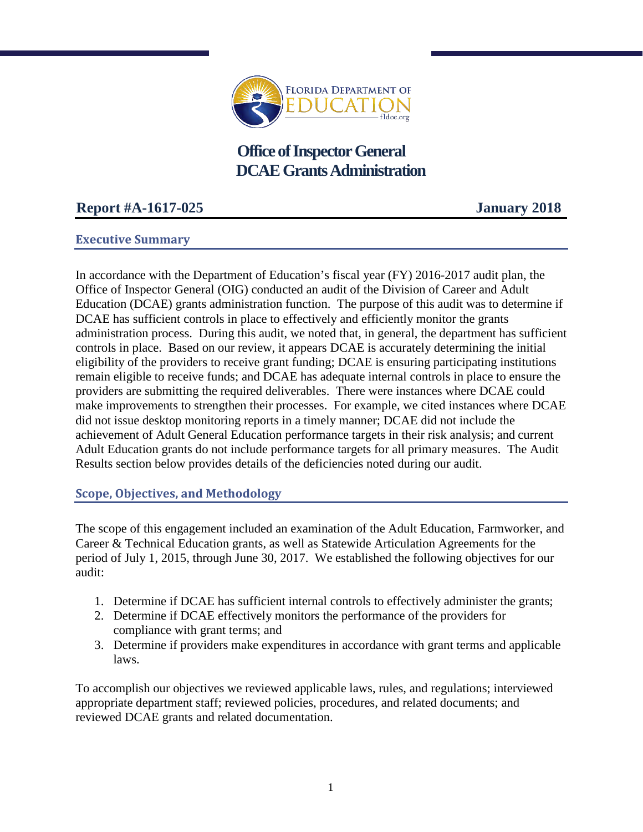

**Office of Inspector General DCAEGrants Administration**

# **Report #A-1617-025 January 2018**

### **Executive Summary**

In accordance with the Department of Education's fiscal year (FY) 2016-2017 audit plan, the Office of Inspector General (OIG) conducted an audit of the Division of Career and Adult Education (DCAE) grants administration function. The purpose of this audit was to determine if DCAE has sufficient controls in place to effectively and efficiently monitor the grants administration process. During this audit, we noted that, in general, the department has sufficient controls in place. Based on our review, it appears DCAE is accurately determining the initial eligibility of the providers to receive grant funding; DCAE is ensuring participating institutions remain eligible to receive funds; and DCAE has adequate internal controls in place to ensure the providers are submitting the required deliverables. There were instances where DCAE could make improvements to strengthen their processes. For example, we cited instances where DCAE did not issue desktop monitoring reports in a timely manner; DCAE did not include the achievement of Adult General Education performance targets in their risk analysis; and current Adult Education grants do not include performance targets for all primary measures. The Audit Results section below provides details of the deficiencies noted during our audit.

**Scope, Objectives, and Methodology**

The scope of this engagement included an examination of the Adult Education, Farmworker, and Career & Technical Education grants, as well as Statewide Articulation Agreements for the period of July 1, 2015, through June 30, 2017. We established the following objectives for our audit:

- 1. Determine if DCAE has sufficient internal controls to effectively administer the grants;
- 2. Determine if DCAE effectively monitors the performance of the providers for compliance with grant terms; and
- 3. Determine if providers make expenditures in accordance with grant terms and applicable laws.

To accomplish our objectives we reviewed applicable laws, rules, and regulations; interviewed appropriate department staff; reviewed policies, procedures, and related documents; and reviewed DCAE grants and related documentation.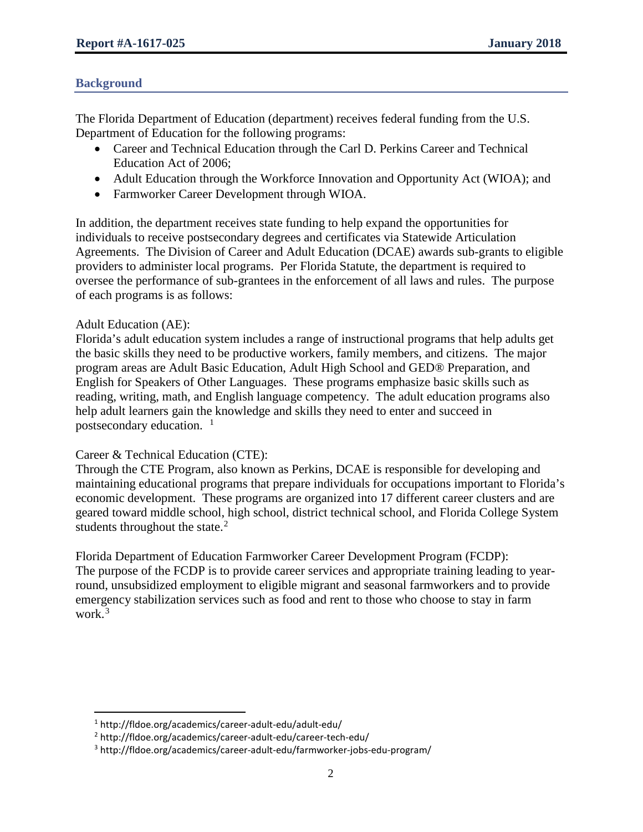### **Background**

The Florida Department of Education (department) receives federal funding from the U.S. Department of Education for the following programs:

- Career and Technical Education through the Carl D. Perkins Career and Technical Education Act of 2006;
- Adult Education through the Workforce Innovation and Opportunity Act (WIOA); and
- Farmworker Career Development through WIOA.

In addition, the department receives state funding to help expand the opportunities for individuals to receive postsecondary degrees and certificates via Statewide Articulation Agreements. The Division of Career and Adult Education (DCAE) awards sub-grants to eligible providers to administer local programs. Per Florida Statute, the department is required to oversee the performance of sub-grantees in the enforcement of all laws and rules. The purpose of each programs is as follows:

### Adult Education (AE):

l

Florida's adult education system includes a range of instructional programs that help adults get the basic skills they need to be productive workers, family members, and citizens. The major program areas are Adult Basic Education, Adult High School and GED® Preparation, and English for Speakers of Other Languages. These programs emphasize basic skills such as reading, writing, math, and English language competency. The adult education programs also help adult learners gain the knowledge and skills they need to enter and succeed in postsecondary education. <sup>[1](#page-1-0)</sup>

### Career & Technical Education (CTE):

Through the CTE Program, also known as Perkins, DCAE is responsible for developing and maintaining educational programs that prepare individuals for occupations important to Florida's economic development. These programs are organized into 17 different career clusters and are geared toward middle school, high school, district technical school, and Florida College System students throughout the state.<sup>[2](#page-1-1)</sup>

Florida Department of Education Farmworker Career Development Program (FCDP): The purpose of the FCDP is to provide career services and appropriate training leading to yearround, unsubsidized employment to eligible migrant and seasonal farmworkers and to provide emergency stabilization services such as food and rent to those who choose to stay in farm work.<sup>[3](#page-1-2)</sup>

<span id="page-1-1"></span><span id="page-1-0"></span><sup>1</sup> http://fldoe.org/academics/career-adult-edu/adult-edu/

<sup>2</sup> http://fldoe.org/academics/career-adult-edu/career-tech-edu/

<span id="page-1-2"></span><sup>3</sup> http://fldoe.org/academics/career-adult-edu/farmworker-jobs-edu-program/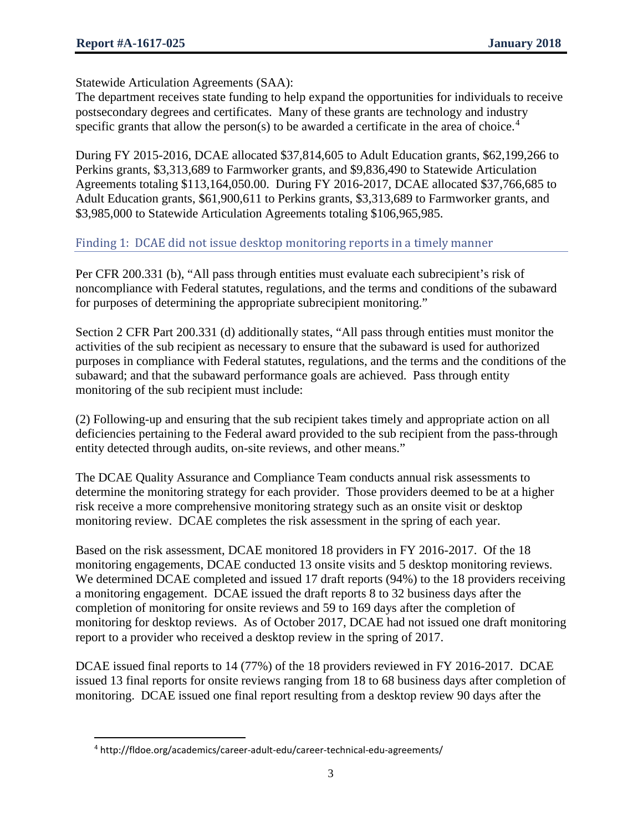l

Statewide Articulation Agreements (SAA):

The department receives state funding to help expand the opportunities for individuals to receive postsecondary degrees and certificates. Many of these grants are technology and industry specific grants that allow the person(s) to be awarded a certificate in the area of choice.<sup>[4](#page-2-0)</sup>

During FY 2015-2016, DCAE allocated \$37,814,605 to Adult Education grants, \$62,199,266 to Perkins grants, \$3,313,689 to Farmworker grants, and \$9,836,490 to Statewide Articulation Agreements totaling \$113,164,050.00. During FY 2016-2017, DCAE allocated \$37,766,685 to Adult Education grants, \$61,900,611 to Perkins grants, \$3,313,689 to Farmworker grants, and \$3,985,000 to Statewide Articulation Agreements totaling \$106,965,985.

### Finding 1: DCAE did not issue desktop monitoring reports in a timely manner

Per CFR 200.331 (b), "All pass through entities must evaluate each subrecipient's risk of noncompliance with Federal statutes, regulations, and the terms and conditions of the subaward for purposes of determining the appropriate subrecipient monitoring."

Section 2 CFR Part 200.331 (d) additionally states, "All pass through entities must monitor the activities of the sub recipient as necessary to ensure that the subaward is used for authorized purposes in compliance with Federal statutes, regulations, and the terms and the conditions of the subaward; and that the subaward performance goals are achieved. Pass through entity monitoring of the sub recipient must include:

(2) Following-up and ensuring that the sub recipient takes timely and appropriate action on all deficiencies pertaining to the Federal award provided to the sub recipient from the pass-through entity detected through audits, on-site reviews, and other means."

The DCAE Quality Assurance and Compliance Team conducts annual risk assessments to determine the monitoring strategy for each provider. Those providers deemed to be at a higher risk receive a more comprehensive monitoring strategy such as an onsite visit or desktop monitoring review. DCAE completes the risk assessment in the spring of each year.

Based on the risk assessment, DCAE monitored 18 providers in FY 2016-2017. Of the 18 monitoring engagements, DCAE conducted 13 onsite visits and 5 desktop monitoring reviews. We determined DCAE completed and issued 17 draft reports (94%) to the 18 providers receiving a monitoring engagement. DCAE issued the draft reports 8 to 32 business days after the completion of monitoring for onsite reviews and 59 to 169 days after the completion of monitoring for desktop reviews. As of October 2017, DCAE had not issued one draft monitoring report to a provider who received a desktop review in the spring of 2017.

DCAE issued final reports to 14 (77%) of the 18 providers reviewed in FY 2016-2017. DCAE issued 13 final reports for onsite reviews ranging from 18 to 68 business days after completion of monitoring. DCAE issued one final report resulting from a desktop review 90 days after the

<span id="page-2-0"></span><sup>4</sup> http://fldoe.org/academics/career-adult-edu/career-technical-edu-agreements/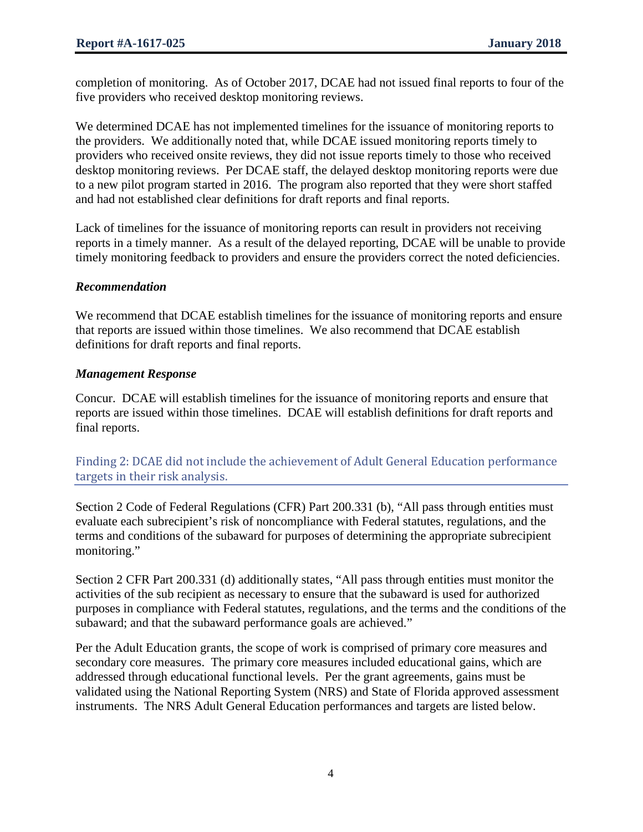completion of monitoring. As of October 2017, DCAE had not issued final reports to four of the five providers who received desktop monitoring reviews.

We determined DCAE has not implemented timelines for the issuance of monitoring reports to the providers. We additionally noted that, while DCAE issued monitoring reports timely to providers who received onsite reviews, they did not issue reports timely to those who received desktop monitoring reviews. Per DCAE staff, the delayed desktop monitoring reports were due to a new pilot program started in 2016. The program also reported that they were short staffed and had not established clear definitions for draft reports and final reports.

Lack of timelines for the issuance of monitoring reports can result in providers not receiving reports in a timely manner. As a result of the delayed reporting, DCAE will be unable to provide timely monitoring feedback to providers and ensure the providers correct the noted deficiencies.

## *Recommendation*

We recommend that DCAE establish timelines for the issuance of monitoring reports and ensure that reports are issued within those timelines. We also recommend that DCAE establish definitions for draft reports and final reports.

## *Management Response*

Concur. DCAE will establish timelines for the issuance of monitoring reports and ensure that reports are issued within those timelines. DCAE will establish definitions for draft reports and final reports.

Finding 2: DCAE did not include the achievement of Adult General Education performance targets in their risk analysis.

Section 2 Code of Federal Regulations (CFR) Part 200.331 (b), "All pass through entities must evaluate each subrecipient's risk of noncompliance with Federal statutes, regulations, and the terms and conditions of the subaward for purposes of determining the appropriate subrecipient monitoring."

Section 2 CFR Part 200.331 (d) additionally states, "All pass through entities must monitor the activities of the sub recipient as necessary to ensure that the subaward is used for authorized purposes in compliance with Federal statutes, regulations, and the terms and the conditions of the subaward; and that the subaward performance goals are achieved."

Per the Adult Education grants, the scope of work is comprised of primary core measures and secondary core measures. The primary core measures included educational gains, which are addressed through educational functional levels. Per the grant agreements, gains must be validated using the National Reporting System (NRS) and State of Florida approved assessment instruments. The NRS Adult General Education performances and targets are listed below.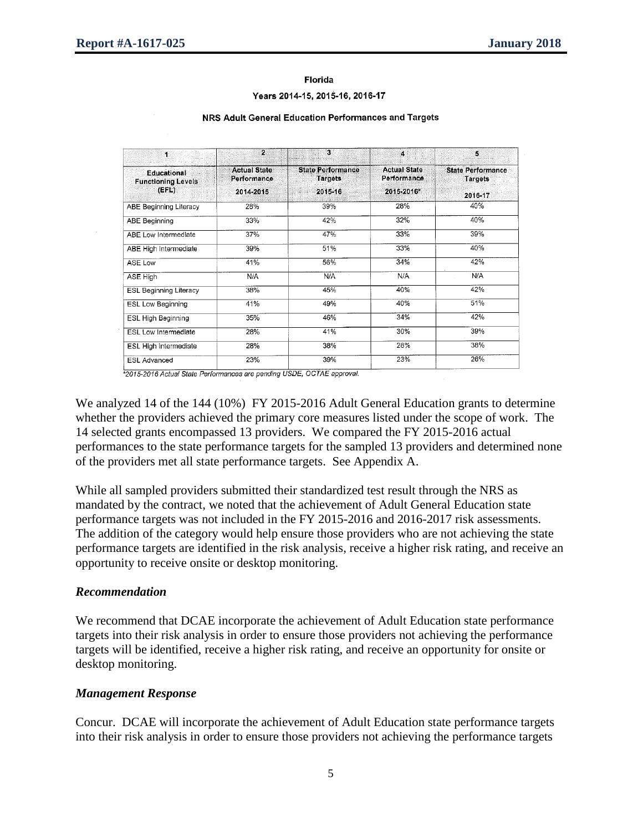#### Florida

#### Years 2014-15, 2015-16, 2016-17

| NRS Adult General Education Performances and Targets |  |  |
|------------------------------------------------------|--|--|
|                                                      |  |  |

| $\mathbf{1}$                                             | 2                                               | 3                                                     | $\overline{4}$                                   | 5                                                     |
|----------------------------------------------------------|-------------------------------------------------|-------------------------------------------------------|--------------------------------------------------|-------------------------------------------------------|
| <b>Educational</b><br><b>Functioning Levels</b><br>(EFL) | <b>Actual State</b><br>Performance<br>2014-2015 | <b>State Performance</b><br><b>Targets</b><br>2015-16 | <b>Actual State</b><br>Performance<br>2015-2016* | <b>State Performance</b><br><b>Targets</b><br>2016-17 |
| ABE Beginning Literacy                                   | 28%                                             | 39%                                                   | 28%                                              | 40%                                                   |
| <b>ABE Beginning</b>                                     | 33%                                             | 42%                                                   | 32%                                              | 40%                                                   |
| ABE Low Intermediate                                     | 37%                                             | 47%                                                   | 33%                                              | 39%                                                   |
| ABE High Intermediate                                    | 39%                                             | 51%                                                   | 33%                                              | 40%                                                   |
| ASE Low                                                  | 41%                                             | 56%                                                   | 34%                                              | 42%                                                   |
| ASE High                                                 | N/A                                             | N/A                                                   | N/A                                              | N/A                                                   |
| <b>ESL Beginning Literacy</b>                            | 38%                                             | 45%                                                   | 40%                                              | 42%                                                   |
| ESL Low Beginning                                        | 41%                                             | 49%                                                   | 40%                                              | 51%                                                   |
| <b>ESL High Beginning</b>                                | 35%                                             | 46%                                                   | 34%                                              | 42%                                                   |
| ESL Low Intermediate                                     | 28%                                             | 41%                                                   | 30%                                              | 39%                                                   |
| ESL High Intermediate                                    | 28%                                             | 38%                                                   | 28%                                              | 38%                                                   |
| <b>ESL Advanced</b>                                      | 23%                                             | 39%                                                   | 23%                                              | 26%                                                   |

\*2015-2016 Actual State Performances are pending USDE, OCTAE approval.

We analyzed 14 of the 144 (10%) FY 2015-2016 Adult General Education grants to determine whether the providers achieved the primary core measures listed under the scope of work. The 14 selected grants encompassed 13 providers. We compared the FY 2015-2016 actual performances to the state performance targets for the sampled 13 providers and determined none of the providers met all state performance targets. See Appendix A.

While all sampled providers submitted their standardized test result through the NRS as mandated by the contract, we noted that the achievement of Adult General Education state performance targets was not included in the FY 2015-2016 and 2016-2017 risk assessments. The addition of the category would help ensure those providers who are not achieving the state performance targets are identified in the risk analysis, receive a higher risk rating, and receive an opportunity to receive onsite or desktop monitoring.

### *Recommendation*

We recommend that DCAE incorporate the achievement of Adult Education state performance targets into their risk analysis in order to ensure those providers not achieving the performance targets will be identified, receive a higher risk rating, and receive an opportunity for onsite or desktop monitoring.

### *Management Response*

Concur. DCAE will incorporate the achievement of Adult Education state performance targets into their risk analysis in order to ensure those providers not achieving the performance targets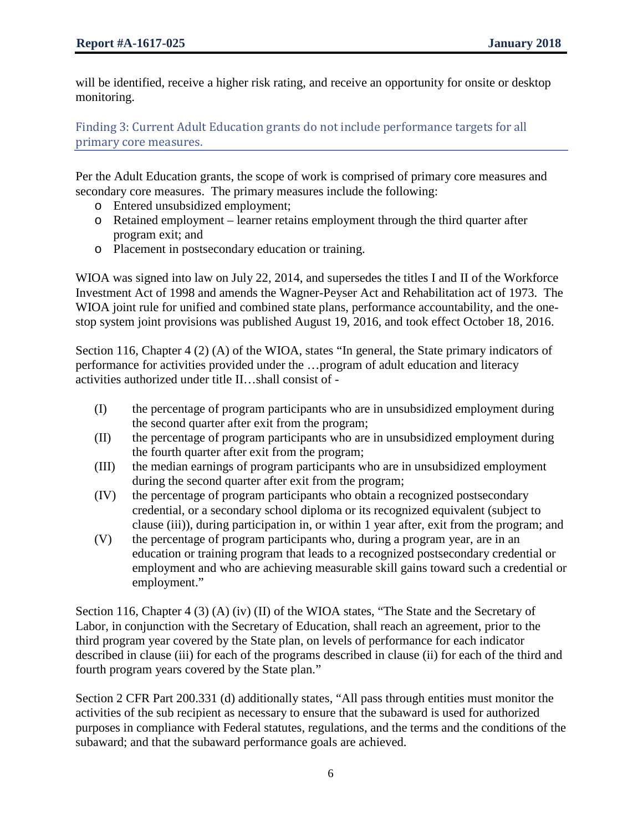will be identified, receive a higher risk rating, and receive an opportunity for onsite or desktop monitoring.

Finding 3: Current Adult Education grants do not include performance targets for all primary core measures.

Per the Adult Education grants, the scope of work is comprised of primary core measures and secondary core measures. The primary measures include the following:

- o Entered unsubsidized employment;
- o Retained employment learner retains employment through the third quarter after program exit; and
- o Placement in postsecondary education or training.

WIOA was signed into law on July 22, 2014, and supersedes the titles I and II of the Workforce Investment Act of 1998 and amends the Wagner-Peyser Act and Rehabilitation act of 1973. The WIOA joint rule for unified and combined state plans, performance accountability, and the onestop system joint provisions was published August 19, 2016, and took effect October 18, 2016.

Section 116, Chapter 4 (2) (A) of the WIOA, states "In general, the State primary indicators of performance for activities provided under the …program of adult education and literacy activities authorized under title II…shall consist of -

- (I) the percentage of program participants who are in unsubsidized employment during the second quarter after exit from the program;
- (II) the percentage of program participants who are in unsubsidized employment during the fourth quarter after exit from the program;
- (III) the median earnings of program participants who are in unsubsidized employment during the second quarter after exit from the program;
- (IV) the percentage of program participants who obtain a recognized postsecondary credential, or a secondary school diploma or its recognized equivalent (subject to clause (iii)), during participation in, or within 1 year after, exit from the program; and
- (V) the percentage of program participants who, during a program year, are in an education or training program that leads to a recognized postsecondary credential or employment and who are achieving measurable skill gains toward such a credential or employment."

Section 116, Chapter 4 (3) (A) (iv) (II) of the WIOA states, "The State and the Secretary of Labor, in conjunction with the Secretary of Education, shall reach an agreement, prior to the third program year covered by the State plan, on levels of performance for each indicator described in clause (iii) for each of the programs described in clause (ii) for each of the third and fourth program years covered by the State plan."

Section 2 CFR Part 200.331 (d) additionally states, "All pass through entities must monitor the activities of the sub recipient as necessary to ensure that the subaward is used for authorized purposes in compliance with Federal statutes, regulations, and the terms and the conditions of the subaward; and that the subaward performance goals are achieved.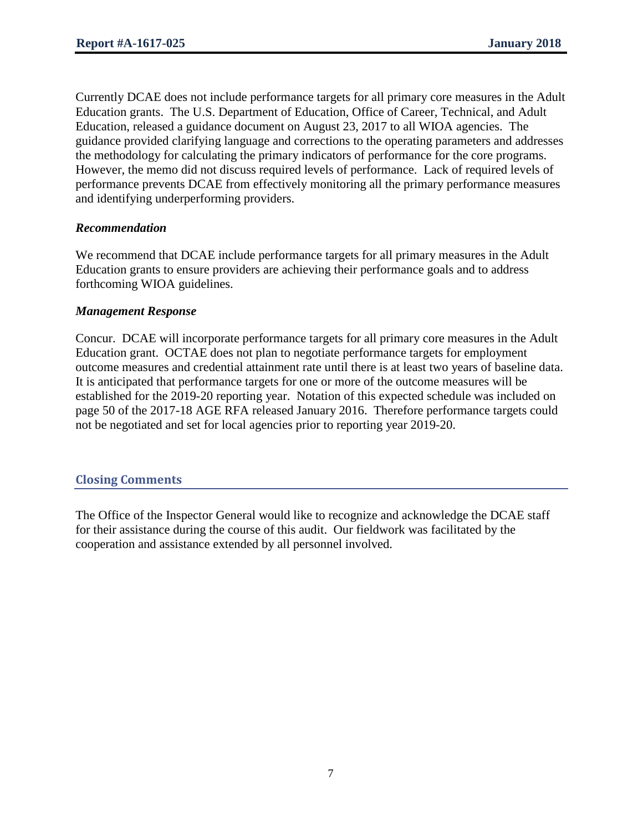Currently DCAE does not include performance targets for all primary core measures in the Adult Education grants. The U.S. Department of Education, Office of Career, Technical, and Adult Education, released a guidance document on August 23, 2017 to all WIOA agencies. The guidance provided clarifying language and corrections to the operating parameters and addresses the methodology for calculating the primary indicators of performance for the core programs. However, the memo did not discuss required levels of performance. Lack of required levels of performance prevents DCAE from effectively monitoring all the primary performance measures and identifying underperforming providers.

### *Recommendation*

We recommend that DCAE include performance targets for all primary measures in the Adult Education grants to ensure providers are achieving their performance goals and to address forthcoming WIOA guidelines.

### *Management Response*

Concur. DCAE will incorporate performance targets for all primary core measures in the Adult Education grant. OCTAE does not plan to negotiate performance targets for employment outcome measures and credential attainment rate until there is at least two years of baseline data. It is anticipated that performance targets for one or more of the outcome measures will be established for the 2019-20 reporting year. Notation of this expected schedule was included on page 50 of the 2017-18 AGE RFA released January 2016. Therefore performance targets could not be negotiated and set for local agencies prior to reporting year 2019-20.

### **Closing Comments**

The Office of the Inspector General would like to recognize and acknowledge the DCAE staff for their assistance during the course of this audit. Our fieldwork was facilitated by the cooperation and assistance extended by all personnel involved.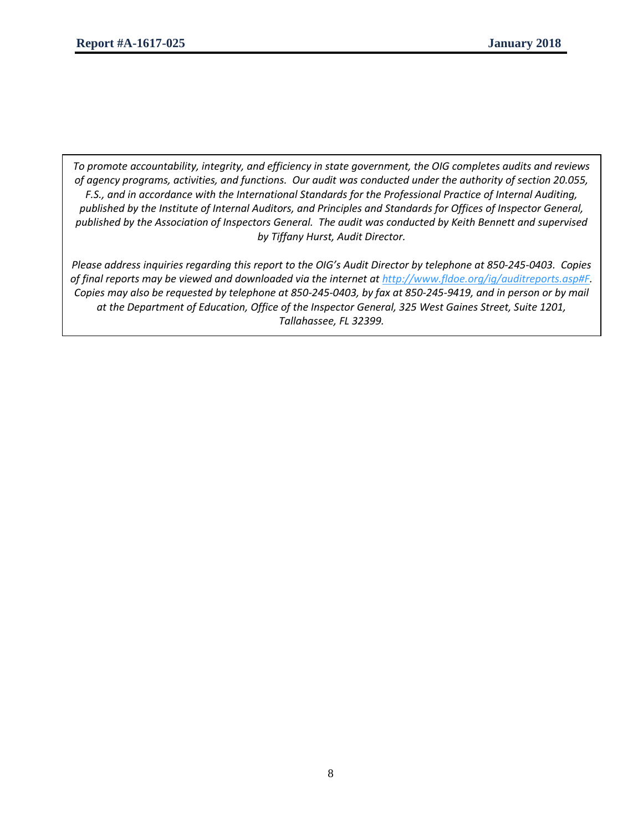*To promote accountability, integrity, and efficiency in state government, the OIG completes audits and reviews of agency programs, activities, and functions. Our audit was conducted under the authority of section 20.055, F.S., and in accordance with the International Standards for the Professional Practice of Internal Auditing, published by the Institute of Internal Auditors, and Principles and Standards for Offices of Inspector General, published by the Association of Inspectors General. The audit was conducted by Keith Bennett and supervised by Tiffany Hurst, Audit Director.*

*Please address inquiries regarding this report to the OIG's Audit Director by telephone at 850-245-0403. Copies of final reports may be viewed and downloaded via the internet at [http://www.fldoe.org/ig/auditreports.asp#F.](http://www.fldoe.org/ig/auditreports.asp#F) Copies may also be requested by telephone at 850-245-0403, by fax at 850-245-9419, and in person or by mail at the Department of Education, Office of the Inspector General, 325 West Gaines Street, Suite 1201, Tallahassee, FL 32399.*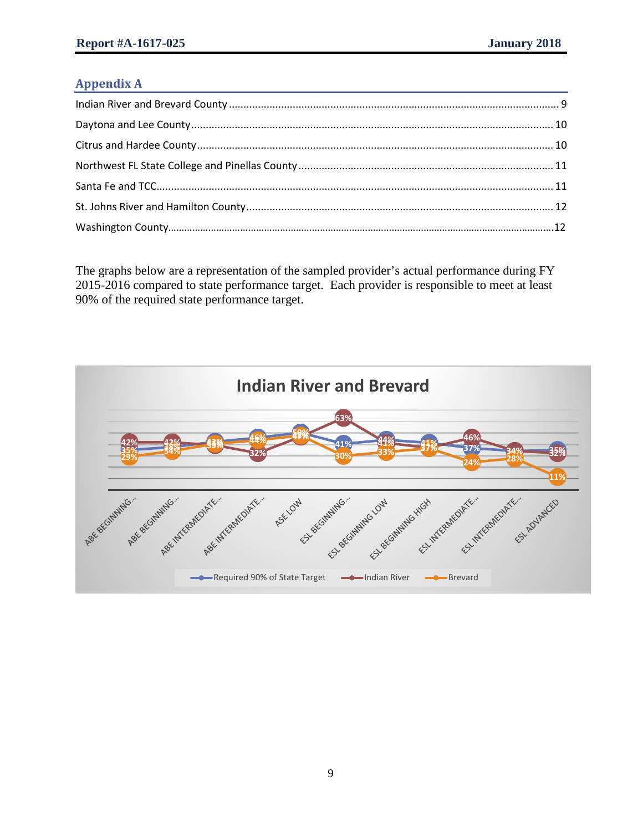### **Appendix A**

The graphs below are a representation of the sampled provider's actual performance during FY 2015-2016 compared to state performance target. Each provider is responsible to meet at least 90% of the required state performance target.

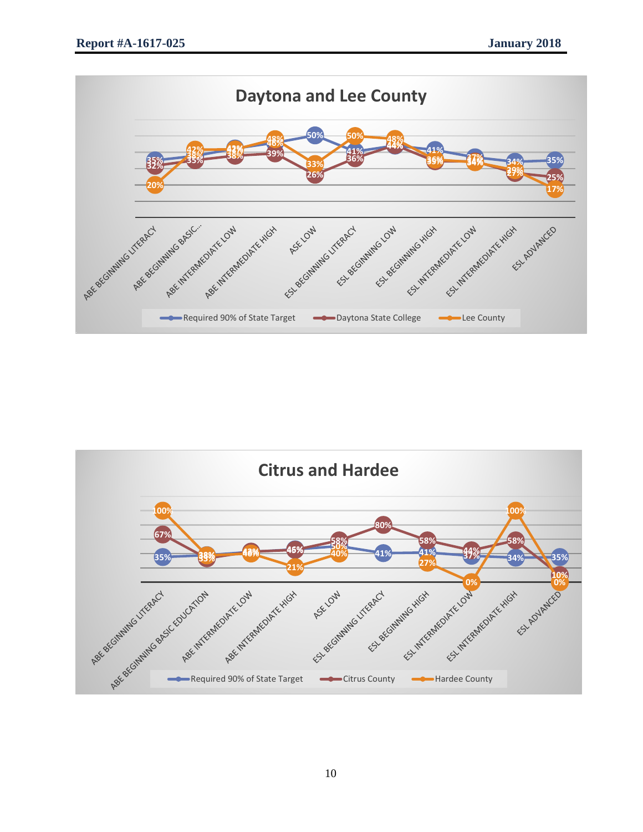

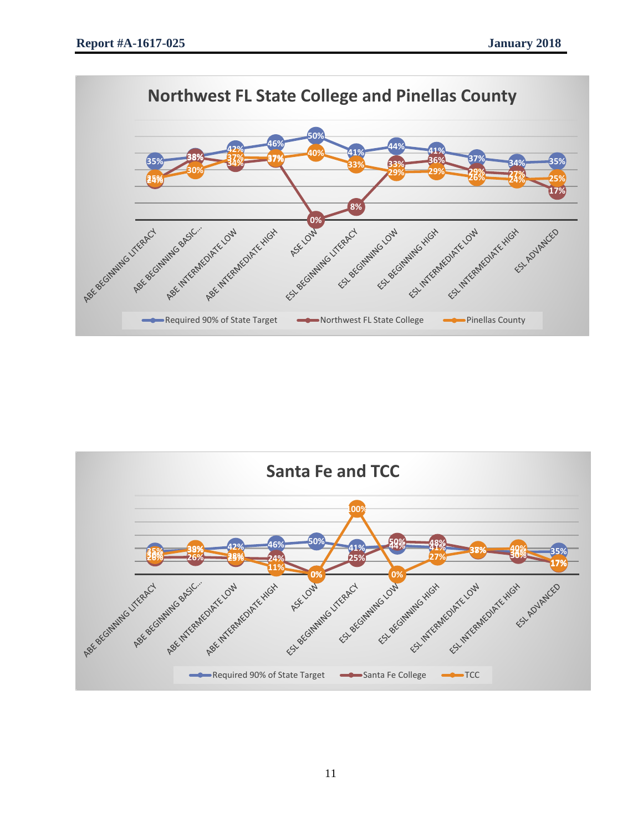